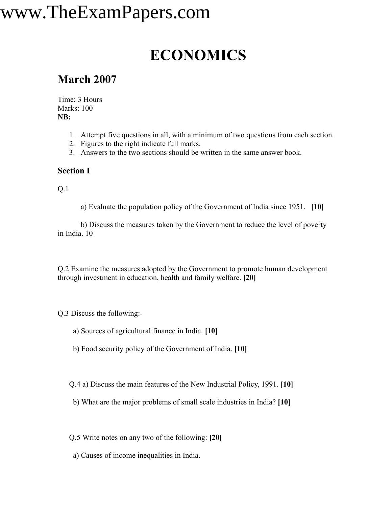## www.TheExamPapers.com

### **ECONOMICS**

### **March 2007**

Time: 3 Hours Marks: 100 **NB:**

- 1. Attempt five questions in all, with a minimum of two questions from each section.
- 2. Figures to the right indicate full marks.
- 3. Answers to the two sections should be written in the same answer book.

#### **Section I**

Q.1

a) Evaluate the population policy of the Government of India since 1951. **[10]**

b) Discuss the measures taken by the Government to reduce the level of poverty in India. 10

Q.2 Examine the measures adopted by the Government to promote human development through investment in education, health and family welfare. **[20]**

Q.3 Discuss the following:-

- a) Sources of agricultural finance in India. **[10]**
- b) Food security policy of the Government of India. **[10]**

Q.4 a) Discuss the main features of the New Industrial Policy, 1991. **[10]**

b) What are the major problems of small scale industries in India? **[10]**

Q.5 Write notes on any two of the following: **[20]**

a) Causes of income inequalities in India.